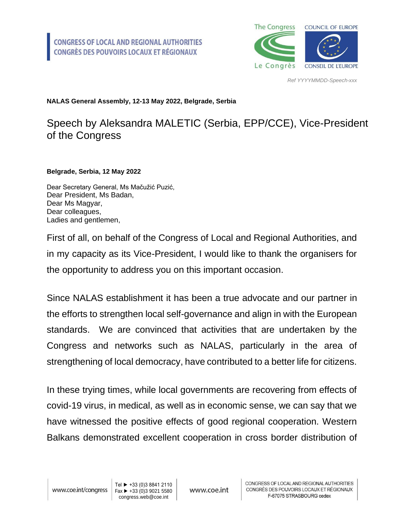

*Ref YYYYMMDD-Speech-xxx*

## **NALAS General Assembly, 12-13 May 2022, Belgrade, Serbia**

## Speech by Aleksandra MALETIC (Serbia, EPP/CCE), Vice-President of the Congress

**Belgrade, Serbia, 12 May 2022**

Dear Secretary General, Ms Mačužić Puzić, Dear President, Ms Badan, Dear Ms Magyar, Dear colleagues, Ladies and gentlemen,

First of all, on behalf of the Congress of Local and Regional Authorities, and in my capacity as its Vice-President, I would like to thank the organisers for the opportunity to address you on this important occasion.

Since NALAS establishment it has been a true advocate and our partner in the efforts to strengthen local self-governance and align in with the European standards. We are convinced that activities that are undertaken by the Congress and networks such as NALAS, particularly in the area of strengthening of local democracy, have contributed to a better life for citizens.

In these trying times, while local governments are recovering from effects of covid-19 virus, in medical, as well as in economic sense, we can say that we have witnessed the positive effects of good regional cooperation. Western Balkans demonstrated excellent cooperation in cross border distribution of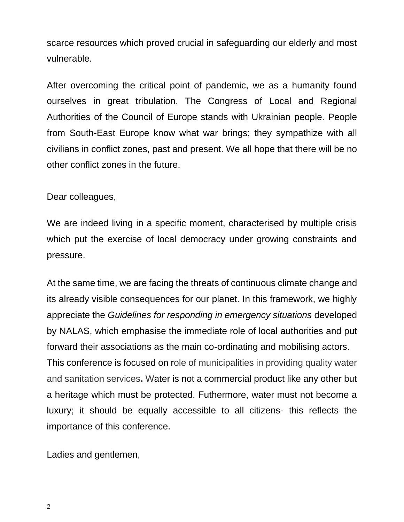scarce resources which proved crucial in safeguarding our elderly and most vulnerable.

After overcoming the critical point of pandemic, we as a humanity found ourselves in great tribulation. The Congress of Local and Regional Authorities of the Council of Europe stands with Ukrainian people. People from South-East Europe know what war brings; they sympathize with all civilians in conflict zones, past and present. We all hope that there will be no other conflict zones in the future.

Dear colleagues,

We are indeed living in a specific moment, characterised by multiple crisis which put the exercise of local democracy under growing constraints and pressure.

At the same time, we are facing the threats of continuous climate change and its already visible consequences for our planet. In this framework, we highly appreciate the *Guidelines for responding in emergency situations* developed by NALAS, which emphasise the immediate role of local authorities and put forward their associations as the main co-ordinating and mobilising actors. This conference is focused on role of municipalities in providing quality water and sanitation services**.** Water is not a commercial product like any other but a heritage which must be protected. Futhermore, water must not become a luxury; it should be equally accessible to all citizens- this reflects the importance of this conference.

Ladies and gentlemen,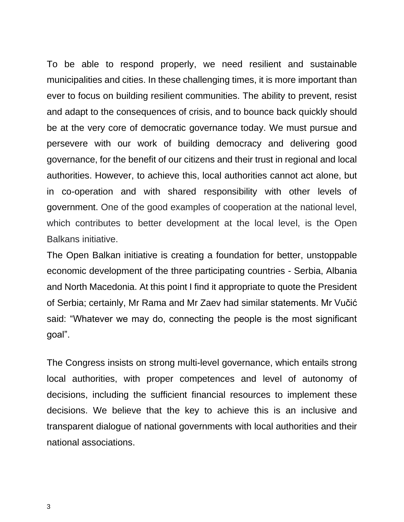To be able to respond properly, we need resilient and sustainable municipalities and cities. In these challenging times, it is more important than ever to focus on building resilient communities. The ability to prevent, resist and adapt to the consequences of crisis, and to bounce back quickly should be at the very core of democratic governance today. We must pursue and persevere with our work of building democracy and delivering good governance, for the benefit of our citizens and their trust in regional and local authorities. However, to achieve this, local authorities cannot act alone, but in co-operation and with shared responsibility with other levels of government. One of the good examples of cooperation at the national level, which contributes to better development at the local level, is the Open Balkans initiative.

The Open Balkan initiative is creating a foundation for better, unstoppable economic development of the three participating countries - Serbia, Albania and North Macedonia. At this point I find it appropriate to quote the President of Serbia; certainly, Mr Rama and Mr Zaev had similar statements. Mr Vučić said: "Whatever we may do, connecting the people is the most significant goal".

The Congress insists on strong multi-level governance, which entails strong local authorities, with proper competences and level of autonomy of decisions, including the sufficient financial resources to implement these decisions. We believe that the key to achieve this is an inclusive and transparent dialogue of national governments with local authorities and their national associations.

3